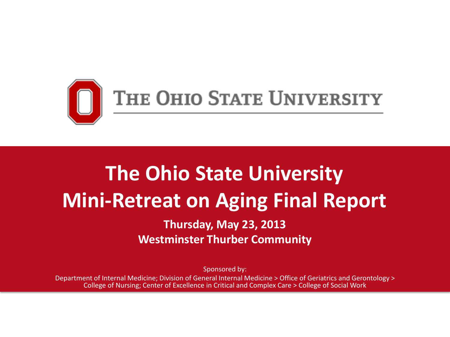

### **The Ohio State University Mini-Retreat on Aging Final Report**

**Thursday, May 23, 2013 Westminster Thurber Community**

Sponsored by:

Department of Internal Medicine; Division of General Internal Medicine > Office of Geriatrics and Gerontology > College of Nursing; Center of Excellence in Critical and Complex Care > College of Social Work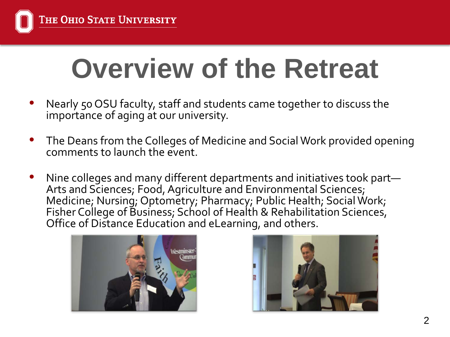# **Overview of the Retreat**

- Nearly 50 OSU faculty, staff and students came together to discuss the importance of aging at our university.
- The Deans from the Colleges of Medicine and Social Work provided opening comments to launch the event.
- Nine colleges and many different departments and initiatives took part— Arts and Sciences; Food, Agriculture and Environmental Sciences; Medicine; Nursing; Optometry; Pharmacy; Public Health; Social Work; Fisher College of Business; School of Health & Rehabilitation Sciences, Office of Distance Education and eLearning, and others.



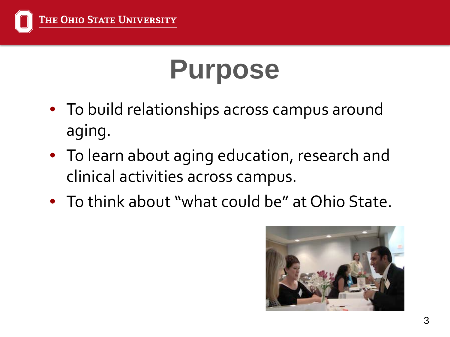

# **Purpose**

- To build relationships across campus around aging.
- To learn about aging education, research and clinical activities across campus.
- To think about "what could be" at Ohio State.

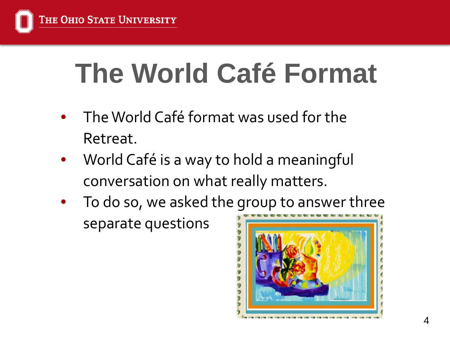

# **The World Café Format**

- The World Café format was used for the Retreat.
- World Café is a way to hold a meaningful conversation on what really matters.
- To do so, we asked the group to answer three separate questions

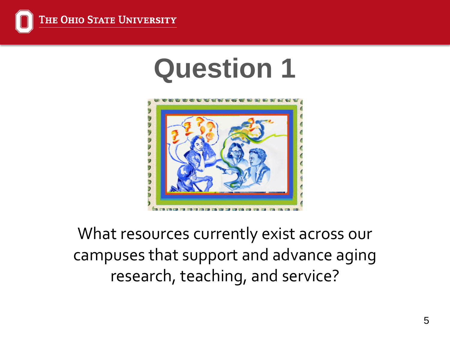

## **Question 1**



What resources currently exist across our campuses that support and advance aging research, teaching, and service?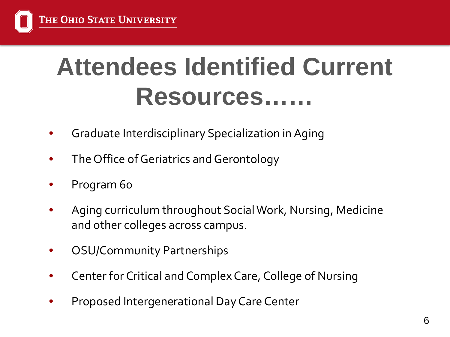## **Attendees Identified Current Resources……**

- Graduate Interdisciplinary Specialization in Aging
- The Office of Geriatrics and Gerontology
- Program 60
- Aging curriculum throughout Social Work, Nursing, Medicine and other colleges across campus.
- OSU/Community Partnerships
- Center for Critical and Complex Care, College of Nursing
- Proposed Intergenerational Day Care Center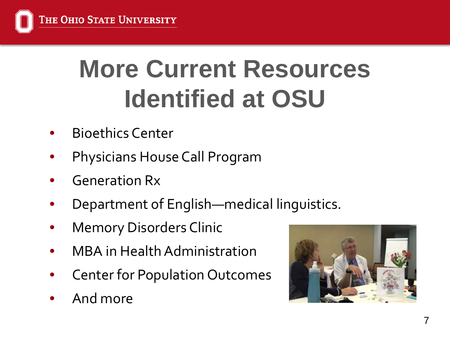

## **More Current Resources Identified at OSU**

- Bioethics Center
- Physicians House Call Program
- Generation Rx
- Department of English—medical linguistics.
- **Memory Disorders Clinic**
- MBA in Health Administration
- Center for Population Outcomes
- And more

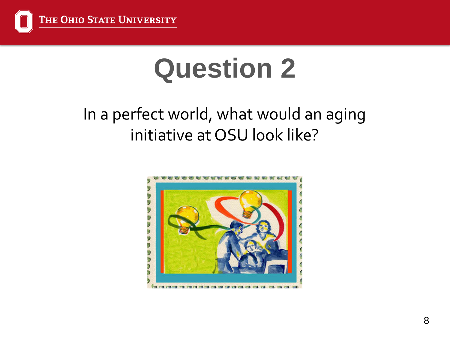

# **Question 2**

### In a perfect world, what would an aging initiative at OSU look like?

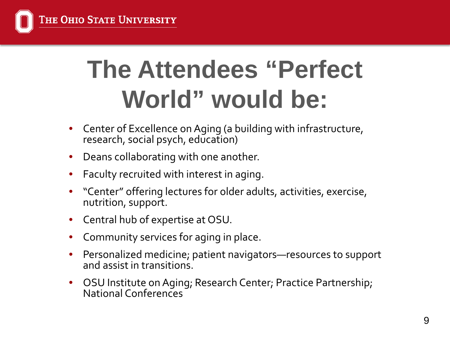

## **The Attendees "Perfect World" would be:**

- Center of Excellence on Aging (a building with infrastructure, research, social psych, education)
- Deans collaborating with one another.
- Faculty recruited with interest in aging.
- "Center" offering lectures for older adults, activities, exercise, nutrition, support.
- Central hub of expertise at OSU.
- Community services for aging in place.
- Personalized medicine; patient navigators—resources to support and assist in transitions.
- OSU Institute on Aging; Research Center; Practice Partnership; National Conferences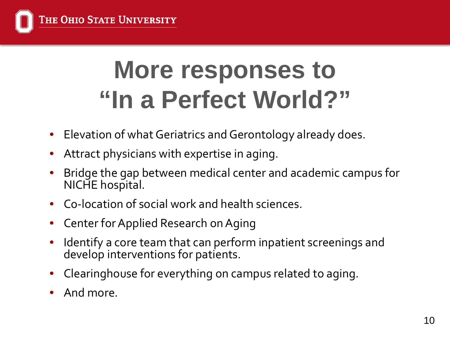

## **More responses to "In a Perfect World?"**

- Elevation of what Geriatrics and Gerontology already does.
- Attract physicians with expertise in aging.
- Bridge the gap between medical center and academic campus for NICHE hospital.
- Co-location of social work and health sciences.
- Center for Applied Research on Aging
- Identify a core team that can perform inpatient screenings and develop interventions for patients.
- Clearinghouse for everything on campus related to aging.
- And more.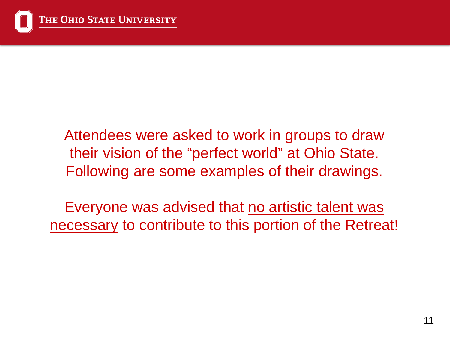Attendees were asked to work in groups to draw their vision of the "perfect world" at Ohio State. Following are some examples of their drawings.

Everyone was advised that no artistic talent was necessary to contribute to this portion of the Retreat!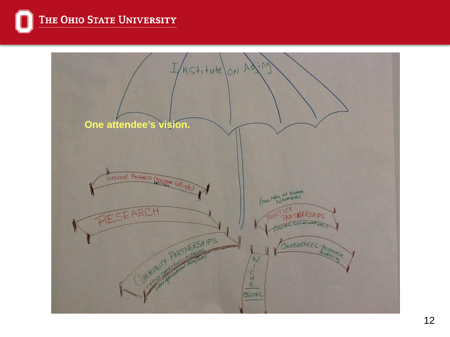

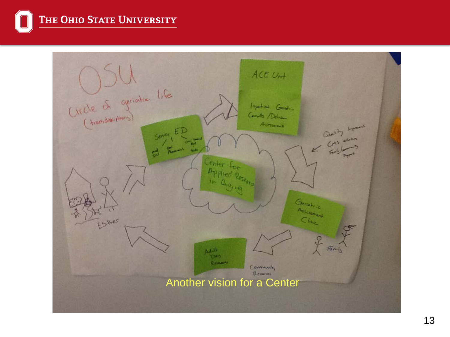THE OHIO STATE UNIVERSITY  $\Omega$ 

| ACE Unt<br>(Ircle of geriation life<br>Important Genetics<br>Condto / Dolina<br>Aussmalt<br>$\begin{picture}(180,10) \put(0,0){\line(1,0){15}} \put(10,0){\line(1,0){15}} \put(10,0){\line(1,0){15}} \put(10,0){\line(1,0){15}} \put(10,0){\line(1,0){15}} \put(10,0){\line(1,0){15}} \put(10,0){\line(1,0){15}} \put(10,0){\line(1,0){15}} \put(10,0){\line(1,0){15}} \put(10,0){\line(1,0){15}} \put(10,0){\line(1,0){15}} \put(10,0){\line($<br>Server ED<br>$-1$<br>Promont<br>ಥೆ<br>ther for<br>Applied Research<br>Gerateic<br>Assessment<br>Cline<br>Estrer<br>$F\overline{a}m\overline{b}$<br>AdA<br>1240<br><b>Quantity</b><br>Community<br>Recover |  |
|--------------------------------------------------------------------------------------------------------------------------------------------------------------------------------------------------------------------------------------------------------------------------------------------------------------------------------------------------------------------------------------------------------------------------------------------------------------------------------------------------------------------------------------------------------------------------------------------------------------------------------------------------------------|--|
| Another vision for a Center                                                                                                                                                                                                                                                                                                                                                                                                                                                                                                                                                                                                                                  |  |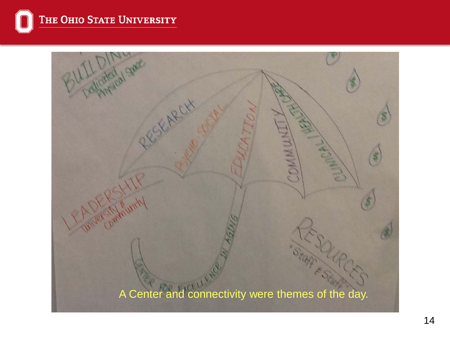![](_page_13_Picture_0.jpeg)

![](_page_13_Picture_1.jpeg)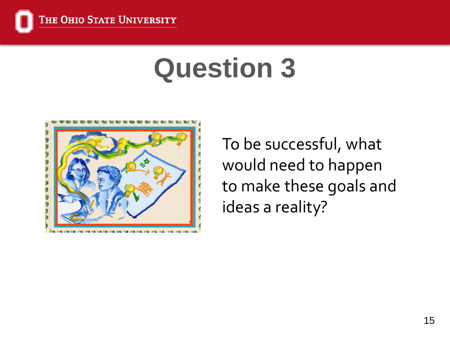![](_page_14_Picture_0.jpeg)

# **Question 3**

![](_page_14_Figure_2.jpeg)

To be successful, what would need to happen to make these goals and ideas a reality?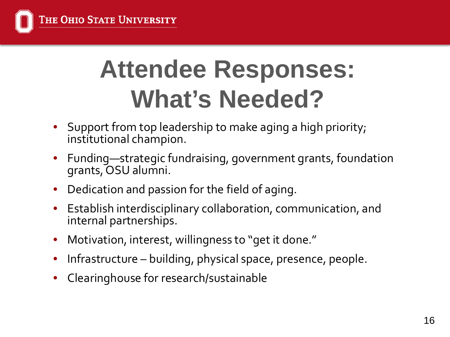![](_page_15_Picture_0.jpeg)

## **Attendee Responses: What's Needed?**

- Support from top leadership to make aging a high priority; institutional champion.
- Funding—strategic fundraising, government grants, foundation grants, OSU alumni.
- Dedication and passion for the field of aging.
- Establish interdisciplinary collaboration, communication, and internal partnerships.
- Motivation, interest, willingness to "get it done."
- Infrastructure building, physical space, presence, people.
- Clearinghouse for research/sustainable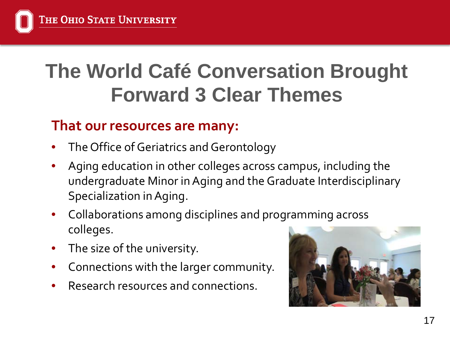### **The World Café Conversation Brought Forward 3 Clear Themes**

#### **That our resources are many:**

- The Office of Geriatrics and Gerontology
- Aging education in other colleges across campus, including the undergraduate Minor in Aging and the Graduate Interdisciplinary Specialization in Aging.
- Collaborations among disciplines and programming across colleges.
- The size of the university.
- Connections with the larger community.
- Research resources and connections.

![](_page_16_Picture_9.jpeg)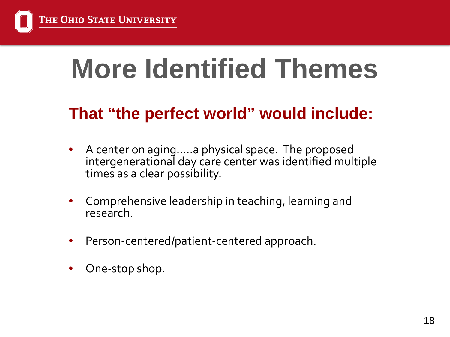![](_page_17_Picture_0.jpeg)

# **More Identified Themes**

### **That "the perfect world" would include:**

- A center on aging…..a physical space. The proposed intergenerational day care center was identified multiple times as a clear possibility.
- Comprehensive leadership in teaching, learning and research.
- Person-centered/patient-centered approach.
- One-stop shop.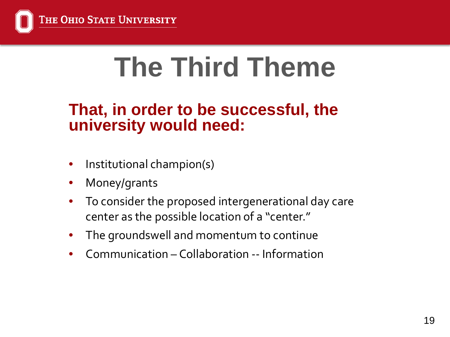![](_page_18_Picture_0.jpeg)

# **The Third Theme**

#### **That, in order to be successful, the university would need:**

- Institutional champion(s)
- Money/grants
- To consider the proposed intergenerational day care center as the possible location of a "center."
- The groundswell and momentum to continue
- Communication Collaboration -- Information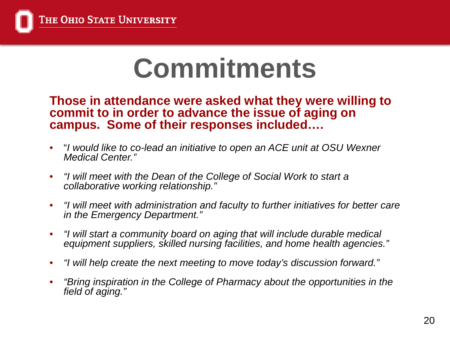## **Commitments**

**Those in attendance were asked what they were willing to commit to in order to advance the issue of aging on campus. Some of their responses included….** 

- "*I would like to co-lead an initiative to open an ACE unit at OSU Wexner Medical Center."*
- *"I will meet with the Dean of the College of Social Work to start a collaborative working relationship."*
- *"I will meet with administration and faculty to further initiatives for better care in the Emergency Department."*
- *"I will start a community board on aging that will include durable medical equipment suppliers, skilled nursing facilities, and home health agencies."*
- *"I will help create the next meeting to move today's discussion forward."*
- *"Bring inspiration in the College of Pharmacy about the opportunities in the field of aging."*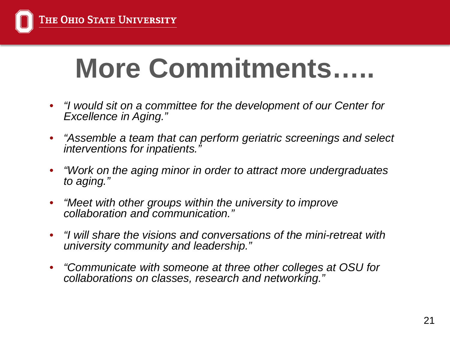# **More Commitments…..**

- *"I would sit on a committee for the development of our Center for Excellence in Aging."*
- *"Assemble a team that can perform geriatric screenings and select interventions for inpatients."*
- *"Work on the aging minor in order to attract more undergraduates to aging."*
- *"Meet with other groups within the university to improve collaboration and communication."*
- *"I will share the visions and conversations of the mini-retreat with university community and leadership."*
- *"Communicate with someone at three other colleges at OSU for collaborations on classes, research and networking."*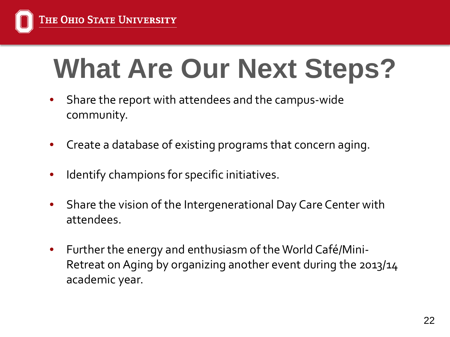# **What Are Our Next Steps?**

- Share the report with attendees and the campus-wide community.
- Create a database of existing programs that concern aging.
- Identify champions for specific initiatives.
- Share the vision of the Intergenerational Day Care Center with attendees.
- Further the energy and enthusiasm of the World Café/Mini-Retreat on Aging by organizing another event during the 2013/14 academic year.